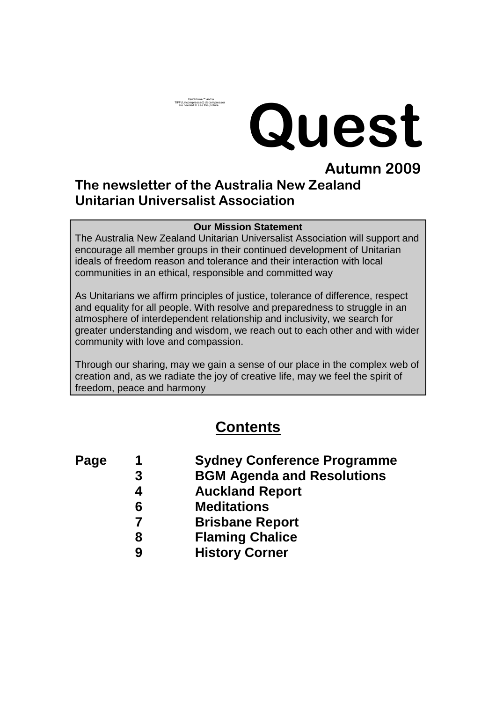# **Quest**

## **Autumn 2009 The newsletter of the Australia New Zealand Unitarian Universalist Association**

Quick lime™ and a<br>TIFF (Uncompressed) decompressor<br>are needed to see this picture.

#### **Our Mission Statement**

The Australia New Zealand Unitarian Universalist Association will support and encourage all member groups in their continued development of Unitarian ideals of freedom reason and tolerance and their interaction with local communities in an ethical, responsible and committed way

As Unitarians we affirm principles of justice, tolerance of difference, respect and equality for all people. With resolve and preparedness to struggle in an atmosphere of interdependent relationship and inclusivity, we search for greater understanding and wisdom, we reach out to each other and with wider community with love and compassion.

Through our sharing, may we gain a sense of our place in the complex web of creation and, as we radiate the joy of creative life, may we feel the spirit of freedom, peace and harmony

## **Contents**

- 
- **Page 1 Sydney Conference Programme**
	- **3 BGM Agenda and Resolutions**
		- **4 Auckland Report**
			- **6 Meditations**
		- **7 Brisbane Report**
		- **8 Flaming Chalice**
		- **9 History Corner**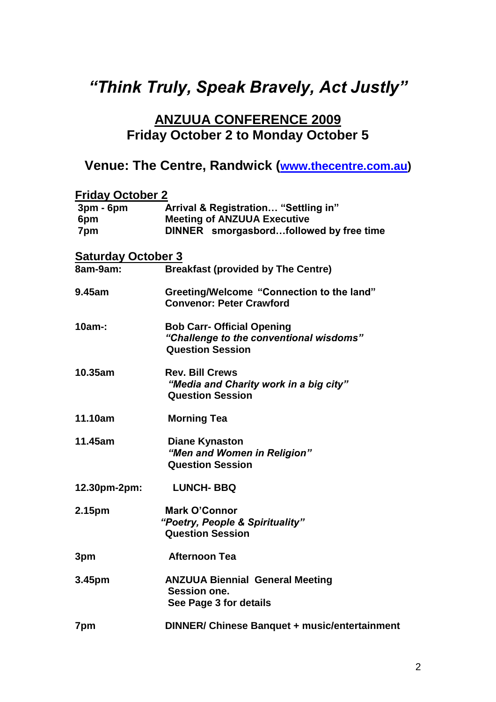## *"Think Truly, Speak Bravely, Act Justly"*

## **ANZUUA CONFERENCE 2009 Friday October 2 to Monday October 5**

## **Venue: The Centre, Randwick ([www.thecentre.com.au\)](http://www.thecentre.com.au/)**

| <b>Friday October 2</b>   |                                                                                                         |  |
|---------------------------|---------------------------------------------------------------------------------------------------------|--|
| $3pm - 6pm$<br>6pm        | Arrival & Registration "Settling in"<br><b>Meeting of ANZUUA Executive</b>                              |  |
| 7pm                       | DINNER smorgasbordfollowed by free time                                                                 |  |
| <b>Saturday October 3</b> |                                                                                                         |  |
| 8am-9am:                  | <b>Breakfast (provided by The Centre)</b>                                                               |  |
| 9.45am                    | Greeting/Welcome "Connection to the land"<br><b>Convenor: Peter Crawford</b>                            |  |
| $10am-$                   | <b>Bob Carr- Official Opening</b><br>"Challenge to the conventional wisdoms"<br><b>Question Session</b> |  |
| 10.35am                   | <b>Rev. Bill Crews</b><br>"Media and Charity work in a big city"<br><b>Question Session</b>             |  |
| 11.10am                   | <b>Morning Tea</b>                                                                                      |  |
| 11.45am                   | <b>Diane Kynaston</b><br>"Men and Women in Religion"<br><b>Question Session</b>                         |  |
| 12.30pm-2pm:              | <b>LUNCH-BBQ</b>                                                                                        |  |
| 2.15pm                    | <b>Mark O'Connor</b><br>"Poetry, People & Spirituality"<br><b>Question Session</b>                      |  |
| 3pm                       | <b>Afternoon Tea</b>                                                                                    |  |
| 3.45pm                    | <b>ANZUUA Biennial General Meeting</b><br>Session one.<br>See Page 3 for details                        |  |
| 7pm                       | DINNER/ Chinese Banquet + music/entertainment                                                           |  |
|                           |                                                                                                         |  |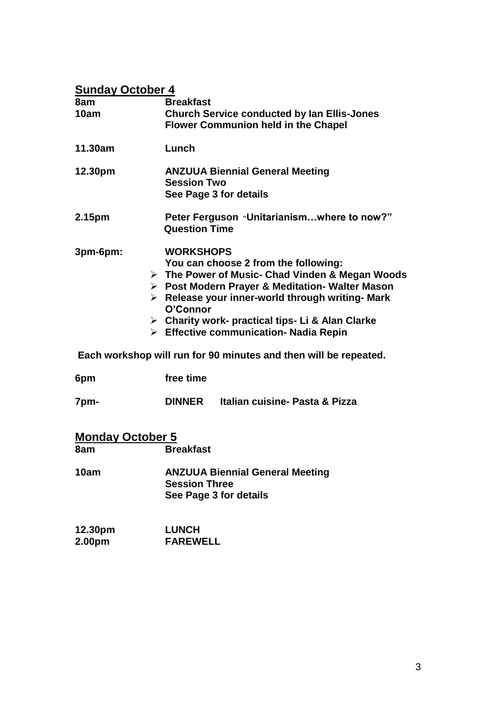#### **Sunday October 4**

| 8am                     | <b>Breakfast</b>                                                                                                                                                                                                                                                                                                                                                         |
|-------------------------|--------------------------------------------------------------------------------------------------------------------------------------------------------------------------------------------------------------------------------------------------------------------------------------------------------------------------------------------------------------------------|
| 10am                    | <b>Church Service conducted by Ian Ellis-Jones</b><br><b>Flower Communion held in the Chapel</b>                                                                                                                                                                                                                                                                         |
| 11.30am                 | Lunch                                                                                                                                                                                                                                                                                                                                                                    |
| 12.30pm                 | <b>ANZUUA Biennial General Meeting</b><br><b>Session Two</b><br>See Page 3 for details                                                                                                                                                                                                                                                                                   |
| 2.15pm                  | Peter Ferguson "Unitarianismwhere to now?"<br><b>Question Time</b>                                                                                                                                                                                                                                                                                                       |
| 3pm-6pm:                | <b>WORKSHOPS</b><br>You can choose 2 from the following:<br>> The Power of Music- Chad Vinden & Megan Woods<br>> Post Modern Prayer & Meditation- Walter Mason<br>$\triangleright$ Release your inner-world through writing- Mark<br>O'Connor<br>$\triangleright$ Charity work- practical tips-Li & Alan Clarke<br>$\triangleright$ Effective communication- Nadia Repin |
|                         | Each workshop will run for 90 minutes and then will be repeated.                                                                                                                                                                                                                                                                                                         |
| 6pm                     | free time                                                                                                                                                                                                                                                                                                                                                                |
| 7pm-                    | Italian cuisine- Pasta & Pizza<br><b>DINNER</b>                                                                                                                                                                                                                                                                                                                          |
| <b>Monday October 5</b> |                                                                                                                                                                                                                                                                                                                                                                          |
| 8am                     | <b>Breakfast</b>                                                                                                                                                                                                                                                                                                                                                         |
| 10am                    | <b>ANZUUA Biennial General Meeting</b><br><b>Session Three</b><br>See Page 3 for details                                                                                                                                                                                                                                                                                 |

**12.30pm LUNCH 2.00pm FAREWELL**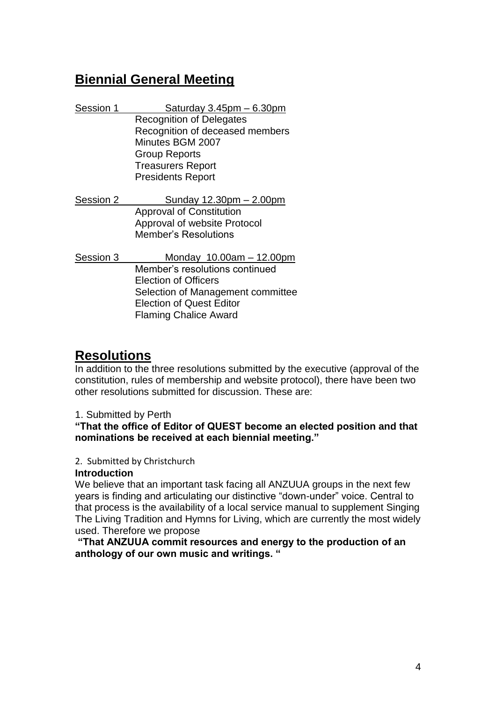## **Biennial General Meeting**

| Session 1 | Saturday $3.45$ pm $-6.30$ pm   |
|-----------|---------------------------------|
|           | <b>Recognition of Delegates</b> |
|           | Recognition of deceased members |
|           | Minutes BGM 2007                |
|           | <b>Group Reports</b>            |
|           | <b>Treasurers Report</b>        |
|           | <b>Presidents Report</b>        |
|           |                                 |

Session 2 Sunday 12.30pm – 2.00pm Approval of Constitution Approval of website Protocol Member's Resolutions

Session 3 Monday 10.00am – 12.00pm Member's resolutions continued Election of Officers Selection of Management committee Election of Quest Editor Flaming Chalice Award

## **Resolutions**

In addition to the three resolutions submitted by the executive (approval of the constitution, rules of membership and website protocol), there have been two other resolutions submitted for discussion. These are:

#### 1. Submitted by Perth

#### **"That the office of Editor of QUEST become an elected position and that nominations be received at each biennial meeting."**

#### 2. Submitted by Christchurch

#### **Introduction**

We believe that an important task facing all ANZUUA groups in the next few years is finding and articulating our distinctive "down-under" voice. Central to that process is the availability of a local service manual to supplement Singing The Living Tradition and Hymns for Living, which are currently the most widely used. Therefore we propose

**"That ANZUUA commit resources and energy to the production of an anthology of our own music and writings. "**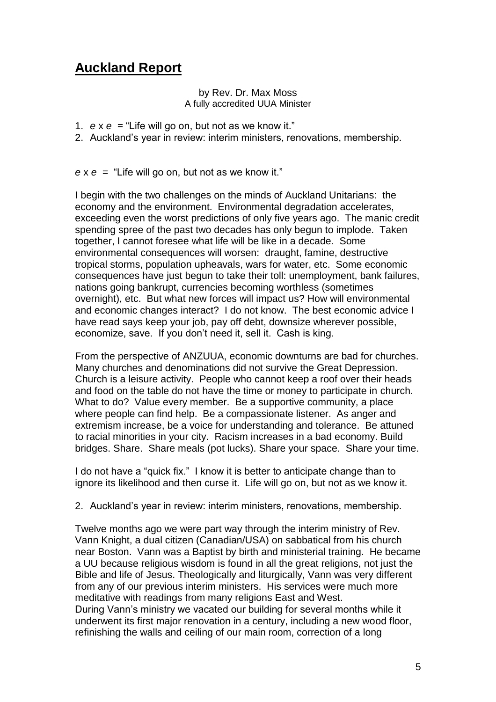## **Auckland Report**

#### by Rev. Dr. Max Moss A fully accredited UUA Minister

- 1. *e* x *e* = "Life will go on, but not as we know it."
- 2. Auckland's year in review: interim ministers, renovations, membership.

*e* x *e =* "Life will go on, but not as we know it."

I begin with the two challenges on the minds of Auckland Unitarians: the economy and the environment. Environmental degradation accelerates, exceeding even the worst predictions of only five years ago. The manic credit spending spree of the past two decades has only begun to implode. Taken together, I cannot foresee what life will be like in a decade. Some environmental consequences will worsen: draught, famine, destructive tropical storms, population upheavals, wars for water, etc. Some economic consequences have just begun to take their toll: unemployment, bank failures, nations going bankrupt, currencies becoming worthless (sometimes overnight), etc. But what new forces will impact us? How will environmental and economic changes interact? I do not know. The best economic advice I have read says keep your job, pay off debt, downsize wherever possible, economize, save. If you don't need it, sell it. Cash is king.

From the perspective of ANZUUA, economic downturns are bad for churches. Many churches and denominations did not survive the Great Depression. Church is a leisure activity. People who cannot keep a roof over their heads and food on the table do not have the time or money to participate in church. What to do? Value every member. Be a supportive community, a place where people can find help. Be a compassionate listener. As anger and extremism increase, be a voice for understanding and tolerance. Be attuned to racial minorities in your city. Racism increases in a bad economy. Build bridges. Share. Share meals (pot lucks). Share your space. Share your time.

I do not have a "quick fix." I know it is better to anticipate change than to ignore its likelihood and then curse it. Life will go on, but not as we know it.

2. Auckland's year in review: interim ministers, renovations, membership.

Twelve months ago we were part way through the interim ministry of Rev. Vann Knight, a dual citizen (Canadian/USA) on sabbatical from his church near Boston. Vann was a Baptist by birth and ministerial training. He became a UU because religious wisdom is found in all the great religions, not just the Bible and life of Jesus. Theologically and liturgically, Vann was very different from any of our previous interim ministers. His services were much more meditative with readings from many religions East and West. During Vann's ministry we vacated our building for several months while it underwent its first major renovation in a century, including a new wood floor, refinishing the walls and ceiling of our main room, correction of a long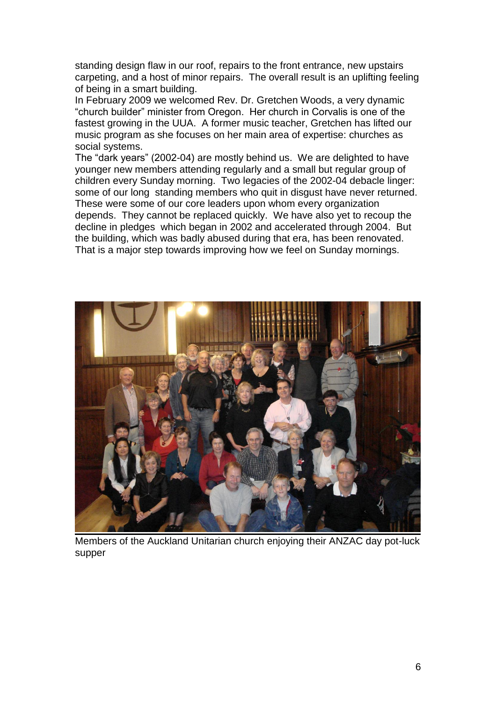standing design flaw in our roof, repairs to the front entrance, new upstairs carpeting, and a host of minor repairs. The overall result is an uplifting feeling of being in a smart building.

In February 2009 we welcomed Rev. Dr. Gretchen Woods, a very dynamic "church builder" minister from Oregon. Her church in Corvalis is one of the fastest growing in the UUA. A former music teacher, Gretchen has lifted our music program as she focuses on her main area of expertise: churches as social systems.

The "dark years" (2002-04) are mostly behind us. We are delighted to have younger new members attending regularly and a small but regular group of children every Sunday morning. Two legacies of the 2002-04 debacle linger: some of our long standing members who quit in disgust have never returned. These were some of our core leaders upon whom every organization depends. They cannot be replaced quickly. We have also yet to recoup the decline in pledges which began in 2002 and accelerated through 2004. But the building, which was badly abused during that era, has been renovated. That is a major step towards improving how we feel on Sunday mornings.



Members of the Auckland Unitarian church enjoying their ANZAC day pot-luck supper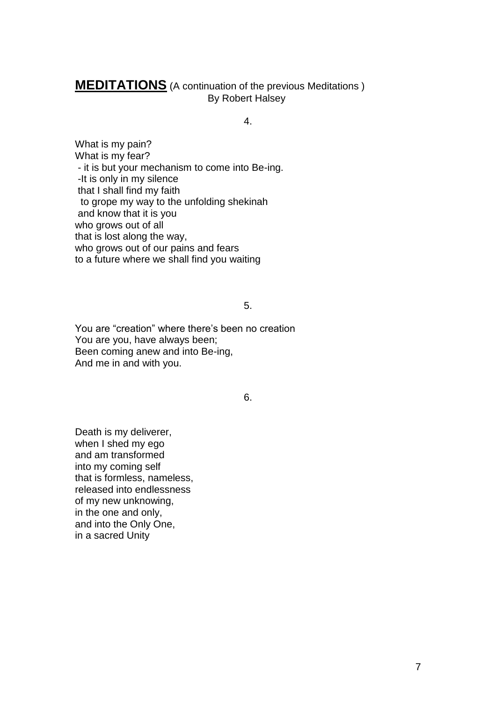#### **MEDITATIONS** (A continuation of the previous Meditations ) By Robert Halsey

4.

What is my pain? What is my fear? - it is but your mechanism to come into Be-ing. -It is only in my silence that I shall find my faith to grope my way to the unfolding shekinah and know that it is you who grows out of all that is lost along the way, who grows out of our pains and fears to a future where we shall find you waiting

5.

You are "creation" where there's been no creation You are you, have always been; Been coming anew and into Be-ing, And me in and with you.

6.

Death is my deliverer, when I shed my ego and am transformed into my coming self that is formless, nameless, released into endlessness of my new unknowing, in the one and only, and into the Only One, in a sacred Unity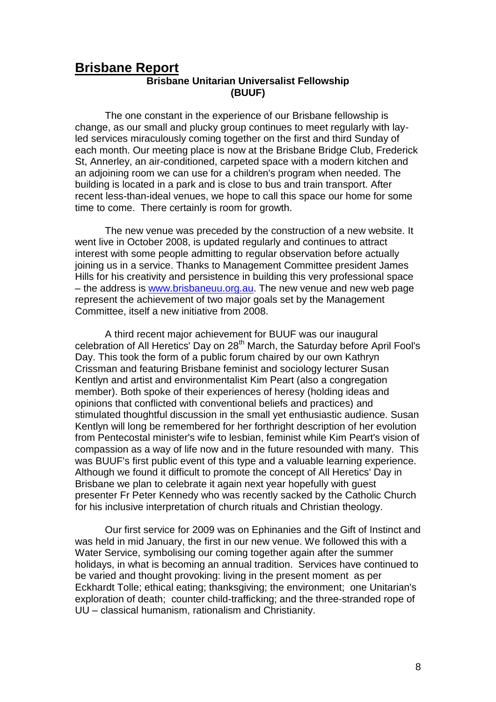#### **Brisbane Report Brisbane Unitarian Universalist Fellowship (BUUF)**

The one constant in the experience of our Brisbane fellowship is change, as our small and plucky group continues to meet regularly with layled services miraculously coming together on the first and third Sunday of each month. Our meeting place is now at the Brisbane Bridge Club, Frederick St, Annerley, an air-conditioned, carpeted space with a modern kitchen and an adjoining room we can use for a children's program when needed. The building is located in a park and is close to bus and train transport. After recent less-than-ideal venues, we hope to call this space our home for some time to come. There certainly is room for growth.

The new venue was preceded by the construction of a new website. It went live in October 2008, is updated regularly and continues to attract interest with some people admitting to regular observation before actually joining us in a service. Thanks to Management Committee president James Hills for his creativity and persistence in building this very professional space – the address is [www.brisbaneuu.org.au.](http://www.brisbaneuu.org.au/) The new venue and new web page represent the achievement of two major goals set by the Management Committee, itself a new initiative from 2008.

A third recent major achievement for BUUF was our inaugural celebration of All Heretics' Day on 28<sup>th</sup> March, the Saturday before April Fool's Day. This took the form of a public forum chaired by our own Kathryn Crissman and featuring Brisbane feminist and sociology lecturer Susan Kentlyn and artist and environmentalist Kim Peart (also a congregation member). Both spoke of their experiences of heresy (holding ideas and opinions that conflicted with conventional beliefs and practices) and stimulated thoughtful discussion in the small yet enthusiastic audience. Susan Kentlyn will long be remembered for her forthright description of her evolution from Pentecostal minister's wife to lesbian, feminist while Kim Peart's vision of compassion as a way of life now and in the future resounded with many. This was BUUF's first public event of this type and a valuable learning experience. Although we found it difficult to promote the concept of All Heretics' Day in Brisbane we plan to celebrate it again next year hopefully with guest presenter Fr Peter Kennedy who was recently sacked by the Catholic Church for his inclusive interpretation of church rituals and Christian theology.

Our first service for 2009 was on Ephinanies and the Gift of Instinct and was held in mid January, the first in our new venue. We followed this with a Water Service, symbolising our coming together again after the summer holidays, in what is becoming an annual tradition. Services have continued to be varied and thought provoking: living in the present moment as per Eckhardt Tolle; ethical eating; thanksgiving; the environment; one Unitarian's exploration of death; counter child-trafficking; and the three-stranded rope of UU – classical humanism, rationalism and Christianity.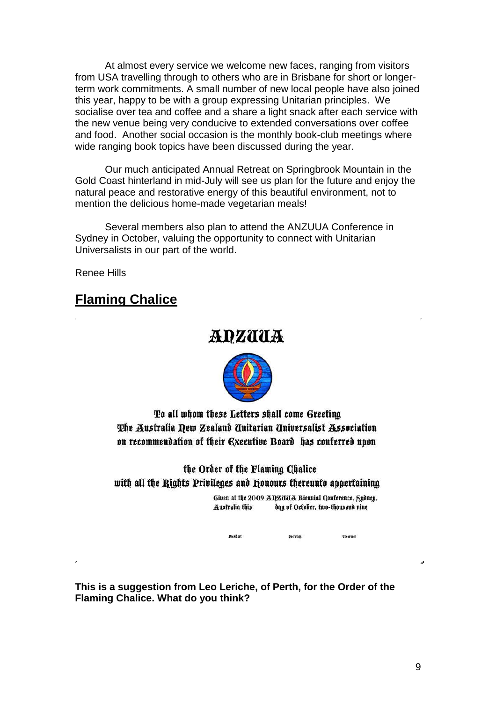At almost every service we welcome new faces, ranging from visitors from USA travelling through to others who are in Brisbane for short or longerterm work commitments. A small number of new local people have also joined this year, happy to be with a group expressing Unitarian principles. We socialise over tea and coffee and a share a light snack after each service with the new venue being very conducive to extended conversations over coffee and food. Another social occasion is the monthly book-club meetings where wide ranging book topics have been discussed during the year.

Our much anticipated Annual Retreat on Springbrook Mountain in the Gold Coast hinterland in mid-July will see us plan for the future and enjoy the natural peace and restorative energy of this beautiful environment, not to mention the delicious home-made vegetarian meals!

Several members also plan to attend the ANZUUA Conference in Sydney in October, valuing the opportunity to connect with Unitarian Universalists in our part of the world.

Renee Hills

## **Flaming Chalice**

## *ADZUUA*



To all whom these Letters shall come Greeting The Australia Dew Zealand Unitarian Universalist Association on recommendation of their Executive Board has conferred upon

the Order of the Flaming Chalice with all the Rights Privileges and Honours thereunto appertaining

> Given at the 2009 ADZUUA Biennial Conference, Sydney, Australia this day of October, two-thousand nine

> > Secretary

**Treasurer** 

**This is a suggestion from Leo Leriche, of Perth, for the Order of the Flaming Chalice. What do you think?**

President